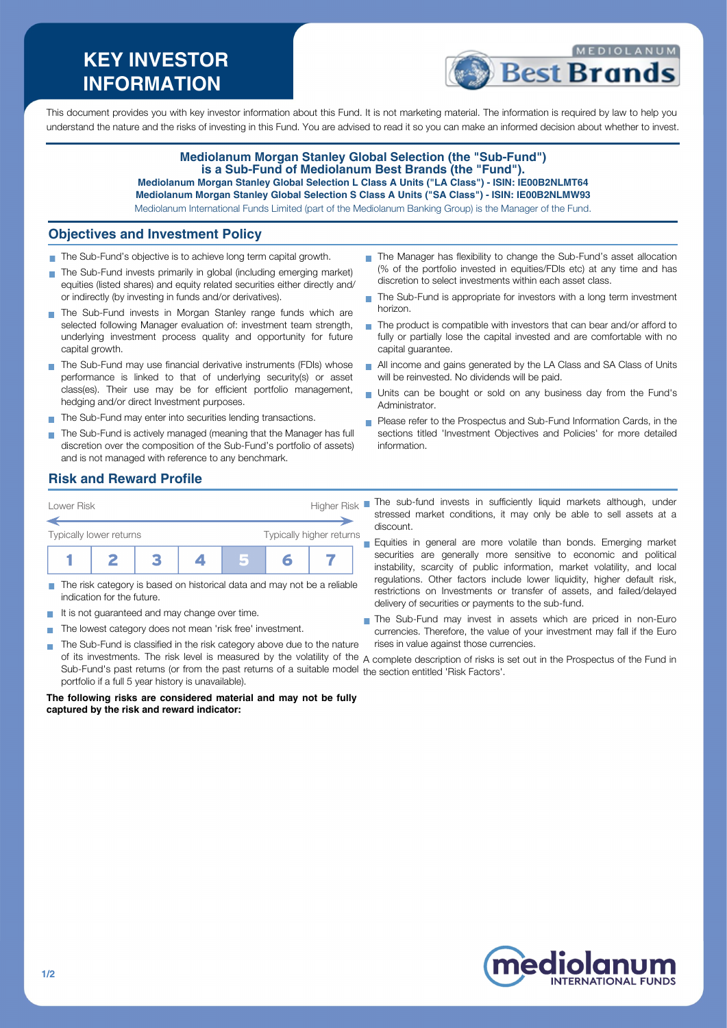# **KEY INVESTOR INFORMATION**



This document provides you with key investor information about this Fund. It is not marketing material. The information is required by law to help you understand the nature and the risks of investing in this Fund. You are advised to read it so you can make an informed decision about whether to invest.

### **Mediolanum Morgan Stanley Global Selection (the "Sub-Fund") is a Sub-Fund of Mediolanum Best Brands (the "Fund"). Mediolanum Morgan Stanley Global Selection L Class A Units ("LA Class") - ISIN: IE00B2NLMT64 Mediolanum Morgan Stanley Global Selection S Class A Units ("SA Class") - ISIN: IE00B2NLMW93**

Mediolanum International Funds Limited (part of the Mediolanum Banking Group) is the Manager of the Fund.

## **Objectives and Investment Policy**

- The Sub-Fund's objective is to achieve long term capital growth.
- The Sub-Fund invests primarily in global (including emerging market) equities (listed shares) and equity related securities either directly and/ or indirectly (by investing in funds and/or derivatives).
- The Sub-Fund invests in Morgan Stanley range funds which are selected following Manager evaluation of: investment team strength, underlying investment process quality and opportunity for future capital growth.
- The Sub-Fund may use financial derivative instruments (FDIs) whose performance is linked to that of underlying security(s) or asset class(es). Their use may be for efficient portfolio management, hedging and/or direct Investment purposes.
- The Sub-Fund may enter into securities lending transactions.
- The Sub-Fund is actively managed (meaning that the Manager has full discretion over the composition of the Sub-Fund's portfolio of assets) and is not managed with reference to any benchmark.
- The Manager has flexibility to change the Sub-Fund's asset allocation (% of the portfolio invested in equities/FDIs etc) at any time and has discretion to select investments within each asset class.
- ÷. The Sub-Fund is appropriate for investors with a long term investment horizon.
- The product is compatible with investors that can bear and/or afford to fully or partially lose the capital invested and are comfortable with no capital guarantee.
- All income and gains generated by the LA Class and SA Class of Units will be reinvested. No dividends will be paid.
- Units can be bought or sold on any business day from the Fund's Administrator.
- **Please refer to the Prospectus and Sub-Fund Information Cards, in the** sections titled 'Investment Objectives and Policies' for more detailed information.

### **Risk and Reward Profile**



- The risk category is based on historical data and may not be a reliable indication for the future.
- It is not guaranteed and may change over time.
- The lowest category does not mean 'risk free' investment. п
- The Sub-Fund is classified in the risk category above due to the nature  $\sim$ Sub-Fund's past returns (or from the past returns of a suitable model the section entitled 'Risk Factors'.portfolio if a full 5 year history is unavailable).

#### **The following risks are considered material and may not be fully captured by the risk and reward indicator:**

- The sub-fund invests in sufficiently liquid markets although, under stressed market conditions, it may only be able to sell assets at a discount.
- Equities in general are more volatile than bonds. Emerging market  $\blacksquare$ securities are generally more sensitive to economic and political instability, scarcity of public information, market volatility, and local regulations. Other factors include lower liquidity, higher default risk, restrictions on Investments or transfer of assets, and failed/delayed delivery of securities or payments to the sub-fund.
- The Sub-Fund may invest in assets which are priced in non-Euro currencies. Therefore, the value of your investment may fall if the Euro rises in value against those currencies.

of its investments. The risk level is measured by the volatility of the A complete description of risks is set out in the Prospectus of the Fund in